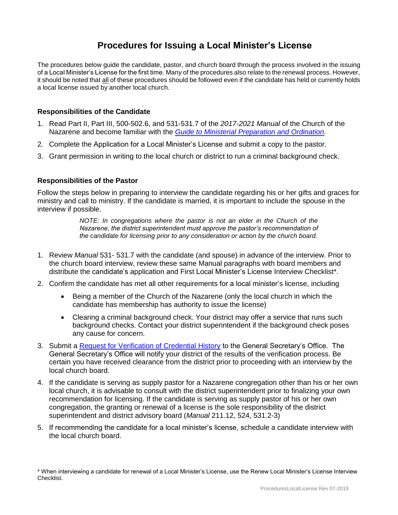# **Procedures for Issuing a Local Minister's License**

The procedures below guide the candidate, pastor, and church board through the process involved in the issuing of a Local Minister's License for the first time. Many of the procedures also relate to the renewal process. However, it should be noted that all of these procedures should be followed even if the candidate has held or currently holds a local license issued by another local church.

### **Responsibilities of the Candidate**

- 1. Read Part II, Part III, 500-502.6, and 531-531.7 of the *2017-2021 Manual* of the Church of the Nazarene and become familiar with the *[Guide to Ministerial Preparation and Ordination.](https://www.nazarene.org/licensing-and-ordination)*
- 2. Complete the Application for a Local Minister's License and submit a copy to the pastor.
- 3. Grant permission in writing to the local church or district to run a criminal background check.

### **Responsibilities of the Pastor**

Follow the steps below in preparing to interview the candidate regarding his or her gifts and graces for ministry and call to ministry. If the candidate is married, it is important to include the spouse in the interview if possible.

> *NOTE: In congregations where the pastor is not an elder in the Church of the Nazarene, the district superintendent must approve the pastor's recommendation of the candidate for licensing prior to any consideration or action by the church board.*

- 1. Review *Manual* 531- 531.7 with the candidate (and spouse) in advance of the interview. Prior to the church board interview, review these same Manual paragraphs with board members and distribute the candidate's application and First Local Minister's License Interview Checklist\*.
- 2. Confirm the candidate has met all other requirements for a local minister's license, including
	- Being a member of the Church of the Nazarene (only the local church in which the candidate has membership has authority to issue the license)
	- Clearing a criminal background check. Your district may offer a service that runs such background checks. Contact your district superintendent if the background check poses any cause for concern.
- 3. Submit a [Request for Verification of Credential History](https://www.usacanadaregion.org/images/Verification_CredentialHistoryRequest_fillableForm_2016-11.pdf) to the General Secretary's Office. The General Secretary's Office will notify your district of the results of the verification process. Be certain you have received clearance from the district prior to proceeding with an interview by the local church board.
- 4. If the candidate is serving as supply pastor for a Nazarene congregation other than his or her own local church, it is advisable to consult with the district superintendent prior to finalizing your own recommendation for licensing. If the candidate is serving as supply pastor of his or her own congregation, the granting or renewal of a license is the sole responsibility of the district superintendent and district advisory board (*Manual* 211.12, 524, 531.2-3)
- 5. If recommending the candidate for a local minister's license, schedule a candidate interview with the local church board.

<sup>\*</sup> When interviewing a candidate for renewal of a Local Minister's License, use the Renew Local Minister's License Interview Checklist.